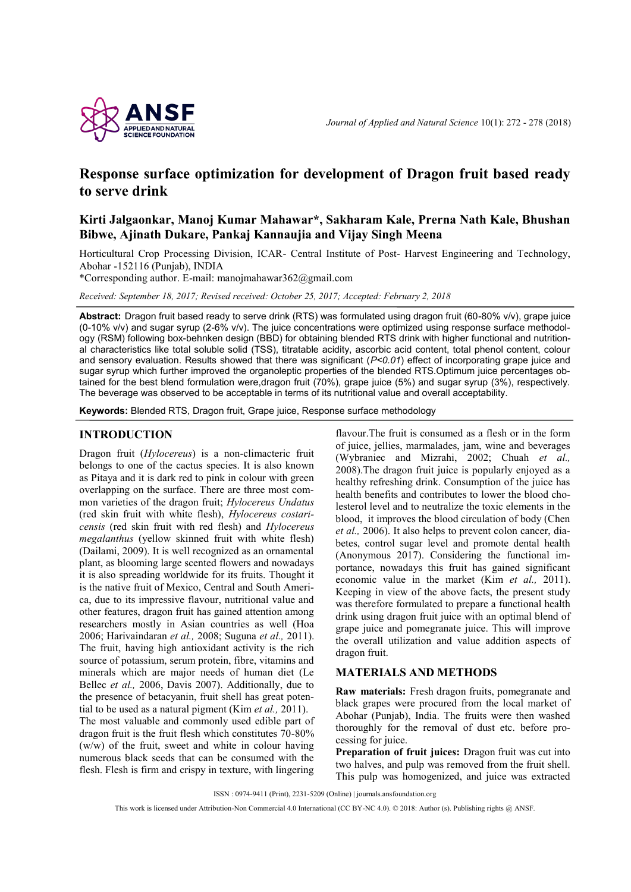

# **Response surface optimization for development of Dragon fruit based ready to serve drink**

## **Kirti Jalgaonkar, Manoj Kumar Mahawar\*, Sakharam Kale, Prerna Nath Kale, Bhushan Bibwe, Ajinath Dukare, Pankaj Kannaujia and Vijay Singh Meena**

Horticultural Crop Processing Division, ICAR- Central Institute of Post- Harvest Engineering and Technology, Abohar -152116 (Punjab), INDIA

\*Corresponding author. E-mail: [manojmahawar362@gmail.com](mailto:manojmahawar362@gmail.com)

*Received: September 18, 2017; Revised received: October 25, 2017; Accepted: February 2, 2018*

**Abstract:** Dragon fruit based ready to serve drink (RTS) was formulated using dragon fruit (60-80% v/v), grape juice (0-10% v/v) and sugar syrup (2-6% v/v). The juice concentrations were optimized using response surface methodology (RSM) following box-behnken design (BBD) for obtaining blended RTS drink with higher functional and nutritional characteristics like total soluble solid (TSS), titratable acidity, ascorbic acid content, total phenol content, colour and sensory evaluation. Results showed that there was significant (*P<0.01*) effect of incorporating grape juice and sugar syrup which further improved the organoleptic properties of the blended RTS.Optimum juice percentages obtained for the best blend formulation were,dragon fruit (70%), grape juice (5%) and sugar syrup (3%), respectively. The beverage was observed to be acceptable in terms of its nutritional value and overall acceptability.

**Keywords:** Blended RTS, Dragon fruit, Grape juice, Response surface methodology

### **INTRODUCTION**

Dragon fruit (*Hylocereus*) is a non-climacteric fruit belongs to one of the cactus species. It is also known as Pitaya and it is dark red to pink in colour with green overlapping on the surface. There are three most common varieties of the dragon fruit; *Hylocereus Undatus*  (red skin fruit with white flesh), *Hylocereus costaricensis* (red skin fruit with red flesh) and *Hylocereus megalanthus* (yellow skinned fruit with white flesh) (Dailami, 2009). It is well recognized as an ornamental plant, as blooming large scented flowers and nowadays it is also spreading worldwide for its fruits. Thought it is the native fruit of Mexico, Central and South America, due to its impressive flavour, nutritional value and other features, dragon fruit has gained attention among researchers mostly in Asian countries as well (Hoa 2006; Harivaindaran *et al.,* 2008; Suguna *et al.,* 2011). The fruit, having high antioxidant activity is the rich source of potassium, serum protein, fibre, vitamins and minerals which are major needs of human diet (Le Bellec *et al.,* 2006, Davis 2007). Additionally, due to the presence of betacyanin, fruit shell has great potential to be used as a natural pigment (Kim *et al.,* 2011). The most valuable and commonly used edible part of dragon fruit is the fruit flesh which constitutes 70-80% (w/w) of the fruit, sweet and white in colour having numerous black seeds that can be consumed with the flesh. Flesh is firm and crispy in texture, with lingering

flavour.The fruit is consumed as a flesh or in the form of juice, jellies, marmalades, jam, wine and beverages (Wybraniec and Mizrahi, 2002; Chuah *et al.,* 2008).The dragon fruit juice is popularly enjoyed as a healthy refreshing drink. Consumption of the juice has health benefits and contributes to lower the blood cholesterol level and to neutralize the toxic elements in the blood, it improves the blood circulation of body (Chen *et al.,* 2006). It also helps to prevent colon cancer, diabetes, control sugar level and promote dental health (Anonymous 2017). Considering the functional importance, nowadays this fruit has gained significant economic value in the market (Kim *et al.,* 2011). Keeping in view of the above facts, the present study was therefore formulated to prepare a functional health drink using dragon fruit juice with an optimal blend of grape juice and pomegranate juice. This will improve the overall utilization and value addition aspects of dragon fruit.

#### **MATERIALS AND METHODS**

**Raw materials:** Fresh dragon fruits, pomegranate and black grapes were procured from the local market of Abohar (Punjab), India. The fruits were then washed thoroughly for the removal of dust etc. before processing for juice.

**Preparation of fruit juices:** Dragon fruit was cut into two halves, and pulp was removed from the fruit shell. This pulp was homogenized, and juice was extracted

ISSN : 0974-9411 (Print), 2231-5209 (Online) | journals.ansfoundation.org

This work is licensed under Attribution-Non Commercial 4.0 International (CC BY-NC 4.0). © 2018: Author (s). Publishing rights @ ANSF.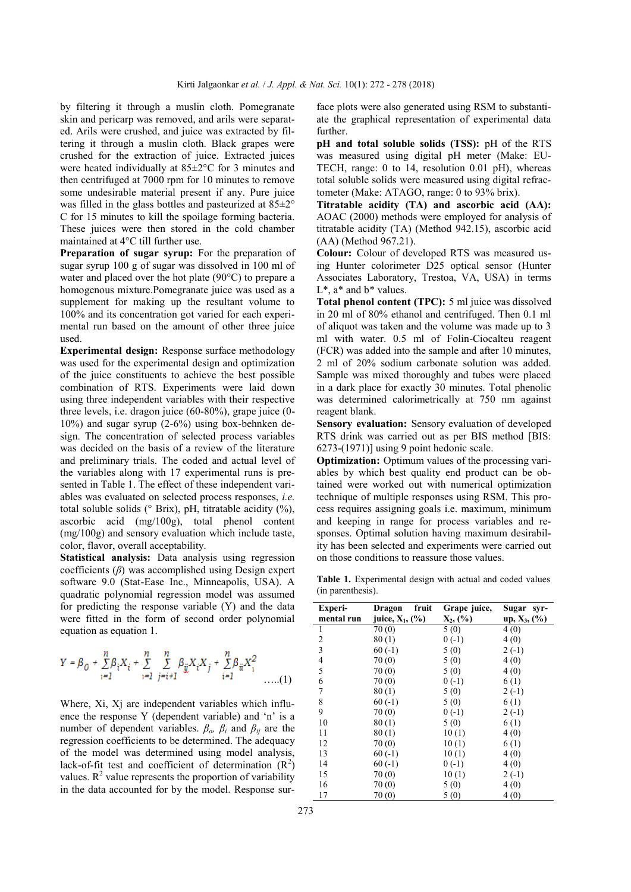by filtering it through a muslin cloth. Pomegranate skin and pericarp was removed, and arils were separated. Arils were crushed, and juice was extracted by filtering it through a muslin cloth. Black grapes were crushed for the extraction of juice. Extracted juices were heated individually at 85±2°C for 3 minutes and then centrifuged at 7000 rpm for 10 minutes to remove some undesirable material present if any. Pure juice was filled in the glass bottles and pasteurized at  $85\pm2^{\circ}$ C for 15 minutes to kill the spoilage forming bacteria. These juices were then stored in the cold chamber maintained at 4°C till further use.

**Preparation of sugar syrup:** For the preparation of sugar syrup 100 g of sugar was dissolved in 100 ml of water and placed over the hot plate (90°C) to prepare a homogenous mixture.Pomegranate juice was used as a supplement for making up the resultant volume to 100% and its concentration got varied for each experimental run based on the amount of other three juice used.

**Experimental design:** Response surface methodology was used for the experimental design and optimization of the juice constituents to achieve the best possible combination of RTS. Experiments were laid down using three independent variables with their respective three levels, i.e. dragon juice (60-80%), grape juice (0- 10%) and sugar syrup (2-6%) using box-behnken design. The concentration of selected process variables was decided on the basis of a review of the literature and preliminary trials. The coded and actual level of the variables along with 17 experimental runs is presented in Table 1. The effect of these independent variables was evaluated on selected process responses, *i.e.* total soluble solids (° Brix), pH, titratable acidity (%), ascorbic acid (mg/100g), total phenol content (mg/100g) and sensory evaluation which include taste, color, flavor, overall acceptability.

**Statistical analysis:** Data analysis using regression coefficients (*β*) was accomplished using Design expert software 9.0 (Stat-Ease Inc., Minneapolis, USA). A quadratic polynomial regression model was assumed for predicting the response variable (Y) and the data were fitted in the form of second order polynomial equation as equation 1.

$$
Y = \beta_0 + \sum_{i=1}^{n} \beta_i X_i + \sum_{i=1}^{n} \sum_{j=i+1}^{n} \beta_{ij} X_i X_j + \sum_{i=1}^{n} \beta_{ii} X_i^2 \dots (1)
$$

Where, Xi, Xj are independent variables which influence the response Y (dependent variable) and "n" is a number of dependent variables.  $\beta_o$ ,  $\beta_i$  and  $\beta_{ij}$  are the regression coefficients to be determined. The adequacy of the model was determined using model analysis, lack-of-fit test and coefficient of determination  $(R^2)$ values.  $R^2$  value represents the proportion of variability in the data accounted for by the model. Response sur-

face plots were also generated using RSM to substantiate the graphical representation of experimental data further.

**pH and total soluble solids (TSS):** pH of the RTS was measured using digital pH meter (Make: EU-TECH, range: 0 to 14, resolution 0.01 pH), whereas total soluble solids were measured using digital refractometer (Make: ATAGO, range: 0 to 93% brix).

**Titratable acidity (TA) and ascorbic acid (AA):**  AOAC (2000) methods were employed for analysis of titratable acidity (TA) (Method 942.15), ascorbic acid (AA) (Method 967.21).

**Colour:** Colour of developed RTS was measured using Hunter colorimeter D25 optical sensor (Hunter Associates Laboratory, Trestoa, VA, USA) in terms  $L^*$ ,  $a^*$  and  $b^*$  values.

**Total phenol content (TPC):** 5 ml juice was dissolved in 20 ml of 80% ethanol and centrifuged. Then 0.1 ml of aliquot was taken and the volume was made up to 3 ml with water. 0.5 ml of Folin-Ciocalteu reagent (FCR) was added into the sample and after 10 minutes, 2 ml of 20% sodium carbonate solution was added. Sample was mixed thoroughly and tubes were placed in a dark place for exactly 30 minutes. Total phenolic was determined calorimetrically at 750 nm against reagent blank.

**Sensory evaluation:** Sensory evaluation of developed RTS drink was carried out as per BIS method [BIS: 6273-(1971)] using 9 point hedonic scale.

**Optimization:** Optimum values of the processing variables by which best quality end product can be obtained were worked out with numerical optimization technique of multiple responses using RSM. This process requires assigning goals i.e. maximum, minimum and keeping in range for process variables and responses. Optimal solution having maximum desirability has been selected and experiments were carried out on those conditions to reassure those values.

**Table 1.** Experimental design with actual and coded values (in parenthesis).

| Experi-                  | fruit<br>Dragon        | Grape juice, | Sugar<br>syr-      |
|--------------------------|------------------------|--------------|--------------------|
| mental run               | juice, $X_1$ , $(\% )$ | $X_2,$ (%)   | up, $X_3$ , $(\%)$ |
| 1                        | 70(0)                  | 5(0)         | 4(0)               |
| 2                        | 80(1)                  | $0(-1)$      | 4(0)               |
| 3                        | $60(-1)$               | $5(0)$       | $2(-1)$            |
| $\overline{\mathcal{L}}$ | 70(0)                  | 5(0)         | 4(0)               |
| 5                        | 70(0)                  | 5(0)         | 4(0)               |
| 6                        | 70(0)                  | $0(-1)$      | 6(1)               |
| 7                        | 80(1)                  | 5(0)         | $2(-1)$            |
| 8                        | $60(-1)$               | 5(0)         | 6(1)               |
| 9                        | 70(0)                  | $0(-1)$      | $2(-1)$            |
| 10                       | 80(1)                  | 5(0)         | 6(1)               |
| 11                       | 80(1)                  | 10(1)        | 4(0)               |
| 12                       | 70(0)                  | 10(1)        | 6(1)               |
| 13                       | $60(-1)$               | 10(1)        | 4(0)               |
| 14                       | $60(-1)$               | $0(-1)$      | 4(0)               |
| 15                       | 70(0)                  | 10(1)        | $2(-1)$            |
| 16                       | 70(0)                  | 5(0)         | 4(0)               |
| 17                       | 70(0)                  | 5(0)         | 4(0)               |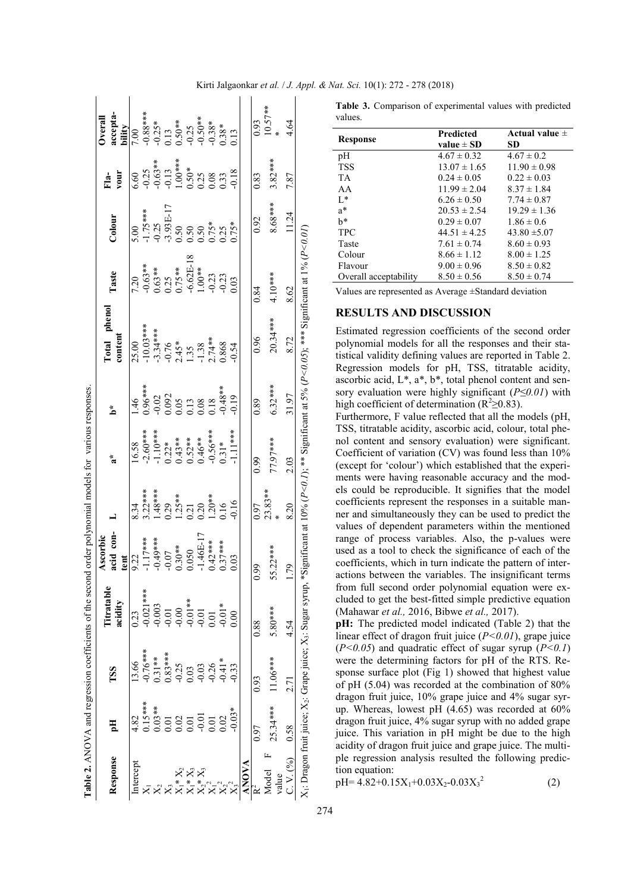|                                                                                                                          |                   |                     | Table 2. ANOVA and regression coefficients of the second  |                               |                                                                                   | order polynomial models for various responses.                                           |                                                          |                                                                                                                                                                              |                                          |                                                                                              |                                                                                            |                               |
|--------------------------------------------------------------------------------------------------------------------------|-------------------|---------------------|-----------------------------------------------------------|-------------------------------|-----------------------------------------------------------------------------------|------------------------------------------------------------------------------------------|----------------------------------------------------------|------------------------------------------------------------------------------------------------------------------------------------------------------------------------------|------------------------------------------|----------------------------------------------------------------------------------------------|--------------------------------------------------------------------------------------------|-------------------------------|
| Response                                                                                                                 | 필                 | TSS                 | Titratable<br>acidity                                     | acid con-<br>Ascorbic<br>tent |                                                                                   | $\tilde{\mathbf{z}}^*$                                                                   | $\sum_{i=1}^{k}$                                         | Total phenol<br>content                                                                                                                                                      | Taste                                    | Colour                                                                                       | vour<br>$F1a-$                                                                             | accepta-<br>bility<br>Overall |
| ntercept                                                                                                                 | 4.82              | 13.66               | 23                                                        | 9.22                          | 8.34                                                                              | 16.58                                                                                    | 46                                                       | 25.00                                                                                                                                                                        | 7.20                                     | $\ddot{0}$                                                                                   | 6.60                                                                                       | 7.00                          |
|                                                                                                                          | $.15***$          | $0.76***$           | $0.021***$                                                | $1.17***$                     |                                                                                   |                                                                                          | $0.96***$                                                |                                                                                                                                                                              |                                          |                                                                                              |                                                                                            |                               |
|                                                                                                                          | $0.03**$          | $0.31**$            |                                                           | $-0.49***$                    |                                                                                   |                                                                                          |                                                          |                                                                                                                                                                              |                                          |                                                                                              |                                                                                            |                               |
|                                                                                                                          |                   | $0.83***$           |                                                           | $-0.07$                       |                                                                                   |                                                                                          |                                                          |                                                                                                                                                                              |                                          |                                                                                              |                                                                                            |                               |
|                                                                                                                          |                   |                     | $0.003$<br>$0.01$<br>$0.01$<br>$0.01$<br>$0.01$<br>$0.01$ | $0.30**$                      | $3.22***$<br>$1.48***$<br>$0.29$<br>$1.25***$<br>$0.21$<br>$0.20***$<br>$1.20***$ | $-2.60***$<br>$-1.10***$<br>$0.22*$<br>$0.43***$<br>$0.64***$<br>$0.66***$<br>$-0.56***$ | $-0.02$<br>$0.092$<br>$0.05$<br>$0.13$<br>$0.08$<br>0.18 | $-10.03***$<br>$-3.34***$<br>$-9.76$<br>$-0.76$<br>$-1.35$<br>$-1.38$<br>$-1.38$<br>$-1.38$<br>$-0.868$                                                                      | $-0.63**$<br>0.63 **<br>0.25<br>0.75 **  | $1.75***$<br>$-0.25$<br>$-0.393E-17$<br>$-0.50$<br>$-0.50$<br>$-0.50$<br>$-0.75*$<br>$0.75*$ | $-0.25$<br>$-0.63**$<br>$-0.13$<br>$-1.00***$<br>$-0.50*$<br>$-0.33$<br>$-0.33$<br>$-0.18$ |                               |
| $\begin{array}{l} \stackrel{\cdot}{X_1} \ast \stackrel{\cdot}{X_3} \\ X_2 \ast \stackrel{\cdot}{X_3} \\ X_1 \end{array}$ |                   | $\frac{0.25}{0.03}$ |                                                           | 0.050                         |                                                                                   |                                                                                          |                                                          |                                                                                                                                                                              |                                          |                                                                                              |                                                                                            |                               |
|                                                                                                                          | 0.01              | $-0.03$             |                                                           | $-1.46E-17$                   |                                                                                   |                                                                                          |                                                          |                                                                                                                                                                              |                                          |                                                                                              |                                                                                            |                               |
|                                                                                                                          | $\overline{0.01}$ | $-0.26$             | 0.01                                                      | $0.42***$                     |                                                                                   |                                                                                          |                                                          |                                                                                                                                                                              |                                          |                                                                                              |                                                                                            |                               |
|                                                                                                                          | 0.02              | $0.41*$             | $-0.01*$                                                  | $.37***$                      |                                                                                   |                                                                                          | $-0.48**$                                                |                                                                                                                                                                              | $-6.62E-18$<br>1.00 **<br>-0.23<br>-0.23 |                                                                                              |                                                                                            |                               |
|                                                                                                                          | $0.03*$           | 0.33                | 00(                                                       | 0.03                          | 0.16                                                                              | $1.11***$                                                                                | 0.19                                                     | 0.54                                                                                                                                                                         |                                          |                                                                                              |                                                                                            |                               |
| <b>ANOVA</b>                                                                                                             |                   |                     |                                                           |                               |                                                                                   |                                                                                          |                                                          |                                                                                                                                                                              |                                          |                                                                                              |                                                                                            |                               |
|                                                                                                                          | 0.97              | 0.93                | 0.88                                                      | 0.99                          | 0.97                                                                              | 0.99                                                                                     | 0.89                                                     | 0.96                                                                                                                                                                         | 0.84                                     | 0.92                                                                                         | 0.83                                                                                       | 0.93                          |
| Model                                                                                                                    | $25.34***$        | $1.06***$           | $5.80***$                                                 | 55.22***                      | $23.83***$                                                                        | 77.97***                                                                                 | $6.32***$                                                | $20.34***$                                                                                                                                                                   | 4.10***                                  | $8.68***$                                                                                    | $3.82***$                                                                                  | $10.57**$                     |
| value                                                                                                                    |                   |                     |                                                           |                               |                                                                                   |                                                                                          |                                                          |                                                                                                                                                                              |                                          |                                                                                              |                                                                                            |                               |
| 2. V. (%)                                                                                                                | 0.58              | 77<br>27            | 4.54                                                      | 1.79                          | 8.20                                                                              | 2.03                                                                                     | 31.97                                                    | 8.72                                                                                                                                                                         | 8.62                                     | 11.24                                                                                        | 7.87                                                                                       | 4.64                          |
|                                                                                                                          |                   |                     |                                                           |                               |                                                                                   |                                                                                          |                                                          | $X_1$ : Dragon fruit juice; $X_2$ : Grape juice; $X_3$ : Sugar syrup, *Significant at 10% ( $P<0.1$ ); ** Significant at 5% ( $P<0.05$ ); *** Significant at 1% ( $P<0.01$ ) |                                          |                                                                                              |                                                                                            |                               |

**Table 3.** Comparison of experimental values with predicted values.

| Response              | Predicted        | Actual value $\pm$ |
|-----------------------|------------------|--------------------|
|                       | value $\pm$ SD   | SD.                |
| pН                    | $4.67 \pm 0.32$  | $4.67 \pm 0.2$     |
| <b>TSS</b>            | $13.07 \pm 1.65$ | $11.90 \pm 0.98$   |
| <b>TA</b>             | $0.24 \pm 0.05$  | $0.22 \pm 0.03$    |
| AA                    | $11.99 \pm 2.04$ | $8.37 \pm 1.84$    |
| $L^*$                 | $6.26 \pm 0.50$  | $7.74 \pm 0.87$    |
| $a^*$                 | $20.53 \pm 2.54$ | $19.29 \pm 1.36$   |
| h*                    | $0.29 \pm 0.07$  | $1.86 \pm 0.6$     |
| <b>TPC</b>            | $44.51 \pm 4.25$ | $43.80 \pm 5.07$   |
| Taste                 | $7.61 \pm 0.74$  | $8.60 \pm 0.93$    |
| Colour                | $8.66 \pm 1.12$  | $8.00 \pm 1.25$    |
| Flavour               | $9.00 \pm 0.96$  | $8.50 \pm 0.82$    |
| Overall acceptability | $8.50 \pm 0.56$  | $8.50 \pm 0.74$    |
|                       |                  |                    |

Values are represented as Average ±Standard deviation

#### **RESULTS AND DISCUSSION**

Estimated regression coefficients of the second order polynomial models for all the responses and their statistical validity defining values are reported in Table 2. Regression models for pH, TSS, titratable acidity, ascorbic acid,  $L^*$ ,  $a^*$ ,  $b^*$ , total phenol content and sensory evaluation were highly significant (*P≤0.01*) with high coefficient of determination ( $R^2 \ge 0.83$ ).

Furthermore, F value reflected that all the models (pH, TSS, titratable acidity, ascorbic acid, colour, total phenol content and sensory evaluation) were significant. Coefficient of variation (CV) was found less than 10% (except for "colour") which established that the experiments were having reasonable accuracy and the models could be reproducible. It signifies that the model coefficients represent the responses in a suitable manner and simultaneously they can be used to predict the values of dependent parameters within the mentioned range of process variables. Also, the p-values were used as a tool to check the significance of each of the coefficients, which in turn indicate the pattern of interactions between the variables. The insignificant terms from full second order polynomial equation were excluded to get the best-fitted simple predictive equation (Mahawar *et al.,* 2016, Bibwe *et al.,* 2017).

**pH:** The predicted model indicated (Table 2) that the linear effect of dragon fruit juice (*P<0.01*), grape juice (*P<0.05*) and quadratic effect of sugar syrup (*P<0.1*) were the determining factors for pH of the RTS. Response surface plot (Fig 1) showed that highest value of pH (5.04) was recorded at the combination of 80% dragon fruit juice, 10% grape juice and 4% sugar syrup. Whereas, lowest pH (4.65) was recorded at 60% dragon fruit juice, 4% sugar syrup with no added grape juice. This variation in pH might be due to the high acidity of dragon fruit juice and grape juice. The multiple regression analysis resulted the following prediction equation:

 $pH= 4.82+0.15X_1+0.03X_2-0.03X_3^2$ (2)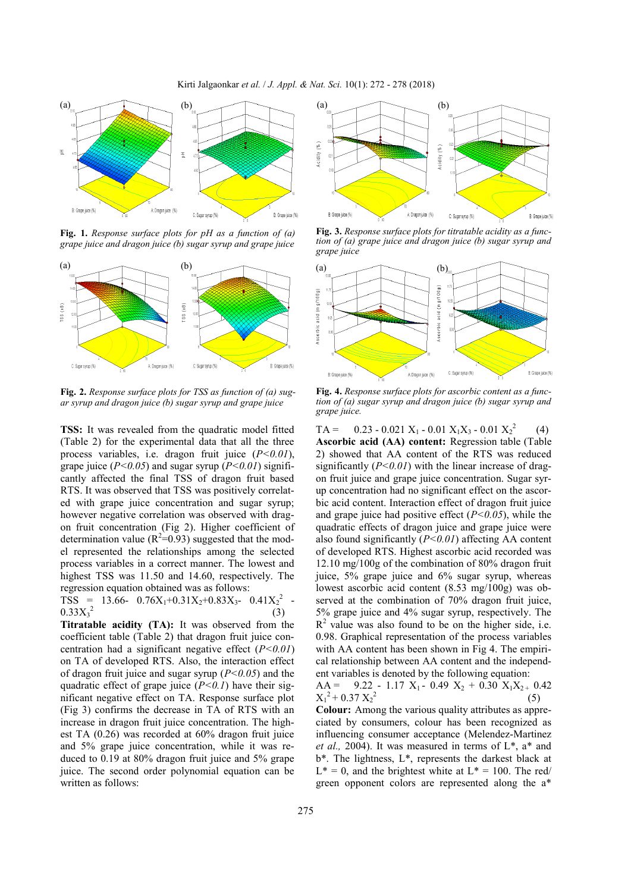Kirti Jalgaonkar *et al.* / *J. Appl. & Nat. Sci.* 10(1): 272 - 278 (2018)



**Fig. 1.** *Response surface plots for pH as a function of (a) grape juice and dragon juice (b) sugar syrup and grape juice*



**Fig. 2.** *Response surface plots for TSS as function of (a) sugar syrup and dragon juice (b) sugar syrup and grape juice*

**TSS:** It was revealed from the quadratic model fitted (Table 2) for the experimental data that all the three process variables, i.e. dragon fruit juice (*P<0.01*), grape juice (*P<0.05*) and sugar syrup (*P<0.01*) significantly affected the final TSS of dragon fruit based RTS. It was observed that TSS was positively correlated with grape juice concentration and sugar syrup; however negative correlation was observed with dragon fruit concentration (Fig 2). Higher coefficient of determination value ( $R^2 = 0.93$ ) suggested that the model represented the relationships among the selected process variables in a correct manner. The lowest and highest TSS was 11.50 and 14.60, respectively. The regression equation obtained was as follows:

TSS = 13.66-  $0.76X_1+0.31X_2+0.83X_3$ -  $0.41X_2^2$ -  $0.33X_3^2$ (3)

**Titratable acidity (TA):** It was observed from the coefficient table (Table 2) that dragon fruit juice concentration had a significant negative effect (*P<0.01*) on TA of developed RTS. Also, the interaction effect of dragon fruit juice and sugar syrup (*P<0.05*) and the quadratic effect of grape juice  $(P<0.1)$  have their significant negative effect on TA. Response surface plot (Fig 3) confirms the decrease in TA of RTS with an increase in dragon fruit juice concentration. The highest TA (0.26) was recorded at 60% dragon fruit juice and 5% grape juice concentration, while it was reduced to 0.19 at 80% dragon fruit juice and 5% grape juice. The second order polynomial equation can be written as follows:



**Fig. 3.** *Response surface plots for titratable acidity as a function of (a) grape juice and dragon juice (b) sugar syrup and grape juice*



**Fig. 4.** *Response surface plots for ascorbic content as a function of (a) sugar syrup and dragon juice (b) sugar syrup and grape juice.*

 $TA =$  0.23 - 0.021  $X_1$  - 0.01  $X_1X_3$  - 0.01  $X_2^2$  (4) **Ascorbic acid (AA) content:** Regression table (Table 2) showed that AA content of the RTS was reduced significantly (*P<0.01*) with the linear increase of dragon fruit juice and grape juice concentration. Sugar syrup concentration had no significant effect on the ascorbic acid content. Interaction effect of dragon fruit juice and grape juice had positive effect (*P<0.05*), while the quadratic effects of dragon juice and grape juice were also found significantly (*P<0.01*) affecting AA content of developed RTS. Highest ascorbic acid recorded was 12.10 mg/100g of the combination of 80% dragon fruit juice, 5% grape juice and 6% sugar syrup, whereas lowest ascorbic acid content (8.53 mg/100g) was observed at the combination of 70% dragon fruit juice, 5% grape juice and 4% sugar syrup, respectively. The  $R<sup>2</sup>$  value was also found to be on the higher side, i.e. 0.98. Graphical representation of the process variables with AA content has been shown in Fig 4. The empirical relationship between AA content and the independent variables is denoted by the following equation:

 $AA =$  9.22 - 1.17  $X_1$  - 0.49  $X_2$  + 0.30  $X_1X_2$  + 0.42  $X_1^2$  + 0.37  $X_2^2$ (5)

**Colour:** Among the various quality attributes as appreciated by consumers, colour has been recognized as influencing consumer acceptance (Melendez-Martinez *et al.,* 2004). It was measured in terms of L\*, a\* and b\*. The lightness, L\*, represents the darkest black at  $L^* = 0$ , and the brightest white at  $L^* = 100$ . The red/ green opponent colors are represented along the a\*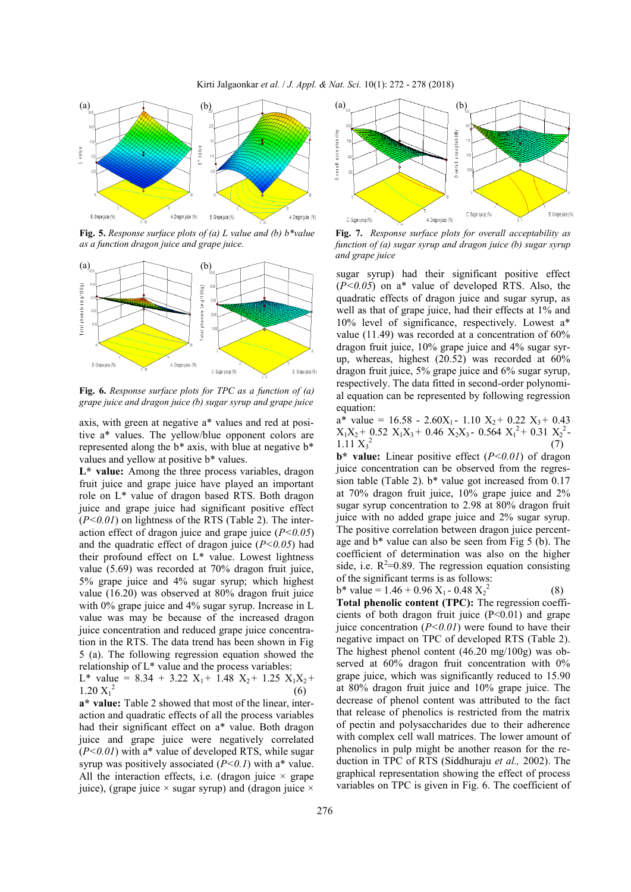

**Fig. 5.** *Response surface plots of (a) L value and (b) b\*value as a function dragon juice and grape juice.*



**Fig. 6.** *Response surface plots for TPC as a function of (a) grape juice and dragon juice (b) sugar syrup and grape juice*

axis, with green at negative a\* values and red at positive a\* values. The yellow/blue opponent colors are represented along the b\* axis, with blue at negative b\* values and yellow at positive b\* values.

L<sup>\*</sup> value: Among the three process variables, dragon fruit juice and grape juice have played an important role on L\* value of dragon based RTS. Both dragon juice and grape juice had significant positive effect  $(P<0.01)$  on lightness of the RTS (Table 2). The interaction effect of dragon juice and grape juice (*P<0.05*) and the quadratic effect of dragon juice (*P<0.05*) had their profound effect on L\* value. Lowest lightness value (5.69) was recorded at 70% dragon fruit juice, 5% grape juice and 4% sugar syrup; which highest value (16.20) was observed at 80% dragon fruit juice with 0% grape juice and 4% sugar syrup. Increase in L value was may be because of the increased dragon juice concentration and reduced grape juice concentration in the RTS. The data trend has been shown in Fig 5 (a). The following regression equation showed the relationship of L\* value and the process variables:

L\* value =  $8.34 + 3.22$  X<sub>1</sub> + 1.48 X<sub>2</sub> + 1.25 X<sub>1</sub>X<sub>2</sub> +  $1.20 X_1^2$ (6)

**a\* value:** Table 2 showed that most of the linear, interaction and quadratic effects of all the process variables had their significant effect on a\* value. Both dragon juice and grape juice were negatively correlated  $(P<0.01)$  with a<sup>\*</sup> value of developed RTS, while sugar syrup was positively associated  $(P<0.1)$  with a\* value. All the interaction effects, i.e. (dragon juice  $\times$  grape juice), (grape juice  $\times$  sugar syrup) and (dragon juice  $\times$ 



**Fig. 7.** *Response surface plots for overall acceptability as function of (a) sugar syrup and dragon juice (b) sugar syrup and grape juice*

sugar syrup) had their significant positive effect (*P<0.05*) on a\* value of developed RTS. Also, the quadratic effects of dragon juice and sugar syrup, as well as that of grape juice, had their effects at 1% and 10% level of significance, respectively. Lowest a\* value (11.49) was recorded at a concentration of 60% dragon fruit juice, 10% grape juice and 4% sugar syrup, whereas, highest (20.52) was recorded at 60% dragon fruit juice, 5% grape juice and 6% sugar syrup, respectively. The data fitted in second-order polynomial equation can be represented by following regression equation:

 $a^*$  value = 16.58 - 2.60X<sub>1</sub> - 1.10 X<sub>2</sub> + 0.22 X<sub>3</sub> + 0.43  $X_1X_2$  + 0.52  $X_1X_3$  + 0.46  $X_2X_3$  - 0.564  $X_1$ <sup>2</sup> + 0.31  $X_2$ <sup>2</sup> - $1.11 X_3^2$ (7)

**b\* value:** Linear positive effect (*P<0.01*) of dragon juice concentration can be observed from the regression table (Table 2). b\* value got increased from 0.17 at 70% dragon fruit juice, 10% grape juice and 2% sugar syrup concentration to 2.98 at 80% dragon fruit juice with no added grape juice and 2% sugar syrup. The positive correlation between dragon juice percentage and b\* value can also be seen from Fig 5 (b). The coefficient of determination was also on the higher side, i.e.  $R^2=0.89$ . The regression equation consisting of the significant terms is as follows:

b\* value =  $1.46 + 0.96$  X<sub>1</sub> - 0.48 X<sub>2</sub><sup>2</sup> (8) **Total phenolic content (TPC):** The regression coefficients of both dragon fruit juice  $(P<0.01)$  and grape juice concentration  $(P<0.01)$  were found to have their negative impact on TPC of developed RTS (Table 2). The highest phenol content (46.20 mg/100g) was observed at 60% dragon fruit concentration with 0% grape juice, which was significantly reduced to 15.90 at 80% dragon fruit juice and 10% grape juice. The decrease of phenol content was attributed to the fact that release of phenolics is restricted from the matrix of pectin and polysaccharides due to their adherence with complex cell wall matrices. The lower amount of phenolics in pulp might be another reason for the reduction in TPC of RTS (Siddhuraju *et al.,* 2002). The graphical representation showing the effect of process variables on TPC is given in Fig. 6. The coefficient of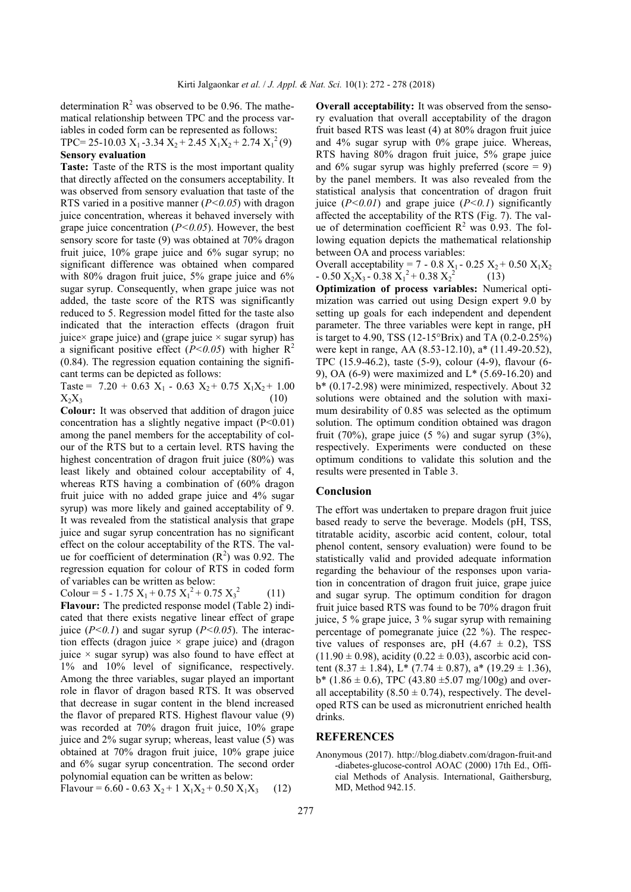determination  $R^2$  was observed to be 0.96. The mathematical relationship between TPC and the process variables in coded form can be represented as follows: TPC= 25-10.03  $X_1$ -3.34  $X_2$ +2.45  $X_1X_2$ +2.74  $X_1^2$ (9)

#### **Sensory evaluation**

Taste: Taste of the RTS is the most important quality that directly affected on the consumers acceptability. It was observed from sensory evaluation that taste of the RTS varied in a positive manner  $(P<0.05)$  with dragon juice concentration, whereas it behaved inversely with grape juice concentration (*P<0.05*). However, the best sensory score for taste (9) was obtained at 70% dragon fruit juice, 10% grape juice and 6% sugar syrup; no significant difference was obtained when compared with 80% dragon fruit juice, 5% grape juice and 6% sugar syrup. Consequently, when grape juice was not added, the taste score of the RTS was significantly reduced to 5. Regression model fitted for the taste also indicated that the interaction effects (dragon fruit juice× grape juice) and (grape juice  $\times$  sugar syrup) has a significant positive effect  $(P<0.05)$  with higher  $R^2$  $(0.84)$ . The regression equation containing the significant terms can be depicted as follows:

Taste =  $7.20 + 0.63$  X<sub>1</sub> - 0.63 X<sub>2</sub> + 0.75 X<sub>1</sub>X<sub>2</sub> + 1.00  $X_2X_3$  (10)

**Colour:** It was observed that addition of dragon juice concentration has a slightly negative impact (P<0.01) among the panel members for the acceptability of colour of the RTS but to a certain level. RTS having the highest concentration of dragon fruit juice (80%) was least likely and obtained colour acceptability of 4, whereas RTS having a combination of (60% dragon fruit juice with no added grape juice and 4% sugar syrup) was more likely and gained acceptability of 9. It was revealed from the statistical analysis that grape juice and sugar syrup concentration has no significant effect on the colour acceptability of the RTS. The value for coefficient of determination  $(R^2)$  was 0.92. The regression equation for colour of RTS in coded form of variables can be written as below:

Colour =  $5 - 1.75$   $X_1 + 0.75$   $X_1^2 + 0.75$   $X_3^2$ (11)

**Flavour:** The predicted response model (Table 2) indicated that there exists negative linear effect of grape juice  $(P<0.1)$  and sugar syrup  $(P<0.05)$ . The interaction effects (dragon juice  $\times$  grape juice) and (dragon juice  $\times$  sugar syrup) was also found to have effect at 1% and 10% level of significance, respectively. Among the three variables, sugar played an important role in flavor of dragon based RTS. It was observed that decrease in sugar content in the blend increased the flavor of prepared RTS. Highest flavour value (9) was recorded at 70% dragon fruit juice, 10% grape juice and 2% sugar syrup; whereas, least value (5) was obtained at 70% dragon fruit juice, 10% grape juice and 6% sugar syrup concentration. The second order polynomial equation can be written as below:

Flavour =  $6.60 - 0.63 X_2 + 1 X_1X_2 + 0.50 X_1X_3$  (12)

**Overall acceptability:** It was observed from the sensory evaluation that overall acceptability of the dragon fruit based RTS was least (4) at 80% dragon fruit juice and 4% sugar syrup with 0% grape juice. Whereas, RTS having 80% dragon fruit juice, 5% grape juice and  $6\%$  sugar syrup was highly preferred (score = 9) by the panel members. It was also revealed from the statistical analysis that concentration of dragon fruit juice  $(P<0.01)$  and grape juice  $(P<0.1)$  significantly affected the acceptability of the RTS (Fig. 7). The value of determination coefficient  $\mathbb{R}^2$  was 0.93. The following equation depicts the mathematical relationship between OA and process variables:

Overall acceptability = 7 - 0.8 X<sub>1</sub> - 0.25 X<sub>2</sub> + 0.50 X<sub>1</sub>X<sub>2</sub>  $- 0.50 \text{ X}_2\text{X}_3 - 0.38 \text{ X}_1^2 + 0.38 \text{ X}_2^2$ (13)

**Optimization of process variables:** Numerical optimization was carried out using Design expert 9.0 by setting up goals for each independent and dependent parameter. The three variables were kept in range, pH is target to 4.90, TSS (12-15°Brix) and TA (0.2-0.25%) were kept in range, AA (8.53-12.10), a\* (11.49-20.52), TPC (15.9-46.2), taste (5-9), colour (4-9), flavour (6- 9), OA (6-9) were maximized and L\* (5.69-16.20) and b\* (0.17-2.98) were minimized, respectively. About 32 solutions were obtained and the solution with maximum desirability of 0.85 was selected as the optimum solution. The optimum condition obtained was dragon fruit (70%), grape juice (5 %) and sugar syrup (3%), respectively. Experiments were conducted on these optimum conditions to validate this solution and the results were presented in Table 3.

#### **Conclusion**

The effort was undertaken to prepare dragon fruit juice based ready to serve the beverage. Models (pH, TSS, titratable acidity, ascorbic acid content, colour, total phenol content, sensory evaluation) were found to be statistically valid and provided adequate information regarding the behaviour of the responses upon variation in concentration of dragon fruit juice, grape juice and sugar syrup. The optimum condition for dragon fruit juice based RTS was found to be 70% dragon fruit juice, 5 % grape juice, 3 % sugar syrup with remaining percentage of pomegranate juice (22 %). The respective values of responses are, pH  $(4.67 \pm 0.2)$ , TSS  $(11.90 \pm 0.98)$ , acidity  $(0.22 \pm 0.03)$ , ascorbic acid content (8.37 ± 1.84), L\* (7.74 ± 0.87), a\* (19.29 ± 1.36),  $b*$  (1.86  $\pm$  0.6), TPC (43.80  $\pm$ 5.07 mg/100g) and overall acceptability  $(8.50 \pm 0.74)$ , respectively. The developed RTS can be used as micronutrient enriched health drinks.

#### **REFERENCES**

Anonymous (2017). [http://blog.diabetv.com/dragon](http://blog.diabetv.com/dragon-fruit-and-diabetes-glucose-control)-fruit-and -[diabetes](http://blog.diabetv.com/dragon-fruit-and-diabetes-glucose-control)-glucose-control AOAC (2000) 17th Ed., Official Methods of Analysis. International, Gaithersburg, MD, Method 942.15.